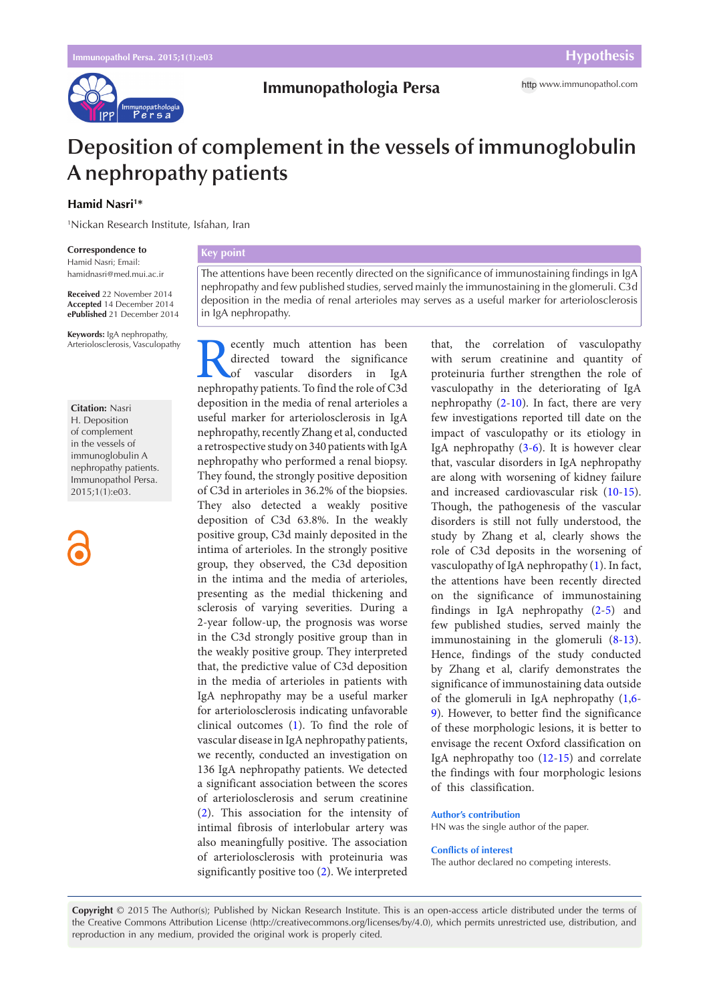

# **Deposition of complement in the vessels of immunoglobulin A nephropathy patients**

# **Hamid Nasri1 \***

1 Nickan Research Institute, Isfahan, Iran

#### **Correspondence to**

Hamid Nasri; Email: hamidnasri@med.mui.ac.ir

**Received** 22 November 2014 **Accepted** 14 December 2014 **ePublished** 21 December 2014

**Keywords:** IgA nephropathy, Arteriolosclerosis, Vasculopathy

#### **Citation:** Nasri

H. Deposition of complement in the vessels of immunoglobulin A nephropathy patients. Immunopathol Persa. 2015;1(1):e03.

### **Key point**

The attentions have been recently directed on the significance of immunostaining findings in IgA nephropathy and few published studies, served mainly the immunostaining in the glomeruli. C3d deposition in the media of renal arterioles may serves as a useful marker for arteriolosclerosis in IgA nephropathy.

Recently much attention has been directed toward the significance of vascular disorders in IgA nephropathy patients. To find the role of C3d directed toward the significance vascular disorders in IgA deposition in the media of renal arterioles a useful marker for arteriolosclerosis in IgA nephropathy, recently Zhang et al, conducted a retrospective study on 340 patients with IgA nephropathy who performed a renal biopsy. They found, the strongly positive deposition of C3d in arterioles in 36.2% of the biopsies. They also detected a weakly positive deposition of C3d 63.8%. In the weakly positive group, C3d mainly deposited in the intima of arterioles. In the strongly positive group, they observed, the C3d deposition in the intima and the media of arterioles, presenting as the medial thickening and sclerosis of varying severities. During a 2-year follow-up, the prognosis was worse in the C3d strongly positive group than in the weakly positive group. They interpreted that, the predictive value of C3d deposition in the media of arterioles in patients with IgA nephropathy may be a useful marker for arteriolosclerosis indicating unfavorable clinical outcomes ([1\)](#page-1-0). To find the role of vascular disease in IgA nephropathy patients, we recently, conducted an investigation on 136 IgA nephropathy patients. We detected a significant association between the scores of arteriolosclerosis and serum creatinine [\(2](#page-1-1)). This association for the intensity of intimal fibrosis of interlobular artery was also meaningfully positive. The association of arteriolosclerosis with proteinuria was significantly positive too ([2](#page-1-1)). We interpreted

that, the correlation of vasculopathy with serum creatinine and quantity of proteinuria further strengthen the role of vasculopathy in the deteriorating of IgA nephropathy [\(2](#page-1-1)-[10](#page-1-2)). In fact, there are very few investigations reported till date on the impact of vasculopathy or its etiology in IgA nephropathy [\(3](#page-1-3)[-6](#page-1-4)). It is however clear that, vascular disorders in IgA nephropathy are along with worsening of kidney failure and increased cardiovascular risk [\(10-](#page-1-2)[15\)](#page-1-5). Though, the pathogenesis of the vascular disorders is still not fully understood, the study by Zhang et al, clearly shows the role of C3d deposits in the worsening of vasculopathy of IgA nephropathy ([1\)](#page-1-0). In fact, the attentions have been recently directed on the significance of immunostaining findings in IgA nephropathy [\(2](#page-1-1)[-5](#page-1-6)) and few published studies, served mainly the immunostaining in the glomeruli ([8-](#page-1-7)[13\)](#page-1-8). Hence, findings of the study conducted by Zhang et al, clarify demonstrates the significance of immunostaining data outside of the glomeruli in IgA nephropathy [\(1](#page-1-0)[,6](#page-1-4)- [9\)](#page-1-9). However, to better find the significance of these morphologic lesions, it is better to envisage the recent Oxford classification on IgA nephropathy too [\(12](#page-1-10)-[15](#page-1-5)) and correlate the findings with four morphologic lesions of this classification.

# **Author's contribution**

HN was the single author of the paper.

#### **Conflicts of interest**

The author declared no competing interests.

**Copyright** © 2015 The Author(s); Published by Nickan Research Institute. This is an open-access article distributed under the terms of the Creative Commons Attribution License (http://creativecommons.org/licenses/by/4.0), which permits unrestricted use, distribution, and reproduction in any medium, provided the original work is properly cited.